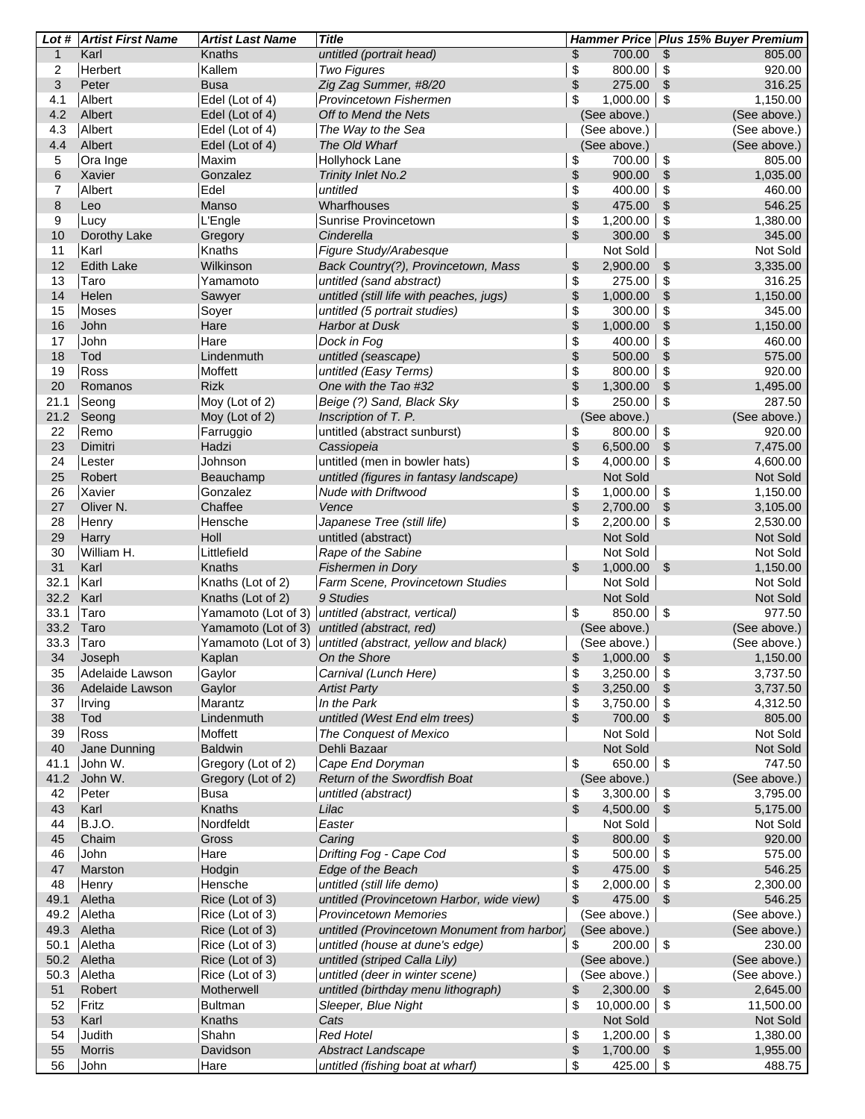|                | Lot # Artist First Name | <b>Artist Last Name</b> | <b>Title</b>                                              |            |                      | Hammer Price Plus 15% Buyer Premium   |
|----------------|-------------------------|-------------------------|-----------------------------------------------------------|------------|----------------------|---------------------------------------|
| $\mathbf{1}$   | Karl                    | Knaths                  | untitled (portrait head)                                  | \$         | 700.00               | \$<br>805.00                          |
| $\overline{2}$ | Herbert                 | Kallem                  | <b>Two Figures</b>                                        | \$         | 800.00               | \$<br>920.00                          |
| 3              | Peter                   | <b>Busa</b>             | Zig Zag Summer, #8/20                                     | \$         | 275.00               | $\frac{1}{2}$<br>316.25               |
| 4.1            | Albert                  | Edel (Lot of 4)         | Provincetown Fishermen                                    | \$         | 1,000.00             | $\boldsymbol{\mathsf{S}}$<br>1,150.00 |
| 4.2            | Albert                  | Edel (Lot of 4)         | Off to Mend the Nets                                      |            | (See above.)         | (See above.)                          |
| 4.3            | Albert                  | Edel (Lot of 4)         | The Way to the Sea                                        |            | (See above.)         | (See above.)                          |
| 4.4            | Albert                  | Edel (Lot of 4)         | The Old Wharf                                             |            | (See above.)         | (See above.)                          |
| 5              | Ora Inge                | Maxim                   | Hollyhock Lane                                            | \$         | 700.00               | \$<br>805.00                          |
| $\,6$          | Xavier                  | Gonzalez                | <b>Trinity Inlet No.2</b>                                 | \$         | 900.00               | $\,$<br>1,035.00                      |
| 7              | Albert                  | Edel                    | untitled                                                  | \$         | 400.00               | \$<br>460.00                          |
| 8              | Leo                     | Manso                   | Wharfhouses                                               | \$         | 475.00               | $\boldsymbol{\mathsf{S}}$<br>546.25   |
| 9              | Lucy                    | L'Engle                 | Sunrise Provincetown                                      | \$         | 1,200.00             | \$<br>1,380.00                        |
| 10             | Dorothy Lake            | Gregory                 | Cinderella                                                | \$         | 300.00               | \$<br>345.00                          |
| 11             | Karl                    | Knaths                  | Figure Study/Arabesque                                    |            | Not Sold             | Not Sold                              |
| 12             | <b>Edith Lake</b>       | Wilkinson               | Back Country(?), Provincetown, Mass                       | \$         | 2,900.00             | 3,335.00<br>\$                        |
| 13             | Taro                    | Yamamoto                | untitled (sand abstract)                                  | \$         | 275.00               | \$<br>316.25                          |
| 14             | Helen                   | Sawyer                  | untitled (still life with peaches, jugs)                  | \$         | 1,000.00             | \$<br>1,150.00                        |
| 15             | Moses                   | Soyer                   | untitled (5 portrait studies)                             | \$         | 300.00               | \$<br>345.00                          |
| 16             | John                    | Hare                    | <b>Harbor at Dusk</b>                                     | \$         | 1,000.00             | \$<br>1,150.00                        |
| 17             | John                    | Hare                    | Dock in Fog                                               | $\pmb{\$}$ | 400.00               | \$<br>460.00                          |
| 18             | Tod                     | Lindenmuth              | untitled (seascape)                                       | \$         | 500.00               | $\boldsymbol{\mathsf{S}}$<br>575.00   |
| 19             | Ross                    | Moffett                 | untitled (Easy Terms)                                     | \$         | 800.00               | \$<br>920.00                          |
| 20             | Romanos                 | <b>Rizk</b>             | One with the Tao #32                                      | \$         | 1,300.00             | $$\mathbb{S}$$<br>1,495.00            |
| 21.1           | Seong                   | Moy (Lot of 2)          | Beige (?) Sand, Black Sky                                 | \$         | 250.00               | \$<br>287.50                          |
| 21.2           | Seong                   | Moy (Lot of 2)          | Inscription of T. P.                                      |            | (See above.)         | (See above.)<br>920.00                |
| 22<br>23       | Remo                    | Farruggio<br>Hadzi      | untitled (abstract sunburst)                              | \$         | 800.00               | \$<br>$\,$<br>7,475.00                |
| 24             | Dimitri<br>Lester       | Johnson                 | Cassiopeia<br>untitled (men in bowler hats)               | \$<br>\$   | 6,500.00<br>4,000.00 | \$<br>4,600.00                        |
| 25             | Robert                  | Beauchamp               | untitled (figures in fantasy landscape)                   |            | Not Sold             | Not Sold                              |
| 26             | Xavier                  | Gonzalez                | Nude with Driftwood                                       | \$         | 1,000.00             | \$<br>1,150.00                        |
| 27             | Oliver N.               | Chaffee                 | Vence                                                     | \$         | 2,700.00             | $$\mathbb{S}$$<br>3,105.00            |
| 28             | Henry                   | Hensche                 | Japanese Tree (still life)                                | \$         | 2,200.00             | \$<br>2,530.00                        |
| 29             | Harry                   | Holl                    | untitled (abstract)                                       |            | Not Sold             | Not Sold                              |
| 30             | William H.              | Littlefield             | Rape of the Sabine                                        |            | Not Sold             | Not Sold                              |
| 31             | Karl                    | Knaths                  | <b>Fishermen in Dory</b>                                  | \$         | 1,000.00             | $\mathfrak{S}$<br>1,150.00            |
| 32.1           | Karl                    | Knaths (Lot of 2)       | Farm Scene, Provincetown Studies                          |            | Not Sold             | Not Sold                              |
| 32.2           | Karl                    | Knaths (Lot of 2)       | 9 Studies                                                 |            | Not Sold             | Not Sold                              |
| 33.1           | Taro                    |                         | Yamamoto (Lot of 3) untitled (abstract, vertical)         | \$         | 850.00               | \$<br>977.50                          |
| 33.2           | Taro                    |                         | Yamamoto (Lot of 3) untitled (abstract, red)              |            | (See above.)         | (See above.)                          |
| 33.3           | Taro                    |                         | Yamamoto (Lot of 3) untitled (abstract, yellow and black) |            | (See above.)         | (See above.)                          |
| 34             | Joseph                  | Kaplan                  | On the Shore                                              | \$         | 1,000.00             | $\sqrt[6]{3}$<br>1,150.00             |
| 35             | Adelaide Lawson         | Gaylor                  | Carnival (Lunch Here)                                     | \$         | 3,250.00             | \$<br>3,737.50                        |
| 36             | Adelaide Lawson         | Gaylor                  | <b>Artist Party</b>                                       | \$         | 3,250.00             | $\mathfrak{S}$<br>3,737.50            |
| 37             | Irving                  | Marantz                 | In the Park                                               | \$         | 3,750.00             | \$<br>4,312.50                        |
| 38             | Tod                     | Lindenmuth              | untitled (West End elm trees)                             | \$         | 700.00               | $\sqrt[6]{\frac{1}{2}}$<br>805.00     |
| 39             | Ross                    | Moffett                 | The Conquest of Mexico                                    |            | Not Sold             | Not Sold                              |
| 40             | Jane Dunning            | <b>Baldwin</b>          | Dehli Bazaar                                              |            | Not Sold             | Not Sold                              |
| 41.1           | John W.                 | Gregory (Lot of 2)      | Cape End Doryman                                          | \$         | 650.00               | \$<br>747.50                          |
| 41.2           | John W.                 | Gregory (Lot of 2)      | Return of the Swordfish Boat                              |            | (See above.)         | (See above.)                          |
| 42             | Peter                   | <b>Busa</b>             | untitled (abstract)                                       | \$         | 3,300.00             | 3,795.00<br>\$                        |
| 43             | Karl                    | Knaths                  | Lilac                                                     | \$         | 4,500.00             | \$<br>5,175.00                        |
| 44             | <b>B.J.O.</b>           | Nordfeldt               | Easter                                                    |            | Not Sold             | Not Sold                              |
| 45             | Chaim                   | Gross                   | Caring                                                    | \$         | 800.00               | \$<br>920.00                          |
| 46             | John                    | Hare                    | Drifting Fog - Cape Cod                                   | \$         | 500.00               | \$<br>575.00                          |
| 47             | Marston                 | Hodgin                  | Edge of the Beach                                         | \$         | 475.00               | $\sqrt[6]{\frac{1}{2}}$<br>546.25     |
| 48             | Henry                   | Hensche                 | untitled (still life demo)                                | \$         | 2,000.00             | \$<br>2,300.00                        |
| 49.1           | Aletha                  | Rice (Lot of 3)         | untitled (Provincetown Harbor, wide view)                 | \$         | 475.00               | $\sqrt[6]{2}$<br>546.25               |
| 49.2           | Aletha                  | Rice (Lot of 3)         | <b>Provincetown Memories</b>                              |            | (See above.)         | (See above.)                          |
| 49.3           | Aletha                  | Rice (Lot of 3)         | untitled (Provincetown Monument from harbor)              |            | (See above.)         | (See above.)                          |
| 50.1           | Aletha                  | Rice (Lot of 3)         | untitled (house at dune's edge)                           | \$         | 200.00               | \$<br>230.00                          |
|                | 50.2 Aletha             | Rice (Lot of 3)         | untitled (striped Calla Lily)                             |            | (See above.)         | (See above.)                          |
| 50.3           | Aletha                  | Rice (Lot of 3)         | untitled (deer in winter scene)                           |            | (See above.)         | (See above.)                          |
| 51             | Robert                  | Motherwell              | untitled (birthday menu lithograph)                       | \$         | 2,300.00             | $\frac{1}{2}$<br>2,645.00             |
| 52             | Fritz                   | <b>Bultman</b>          | Sleeper, Blue Night                                       | \$         | 10,000.00            | \$<br>11,500.00                       |
| 53             | Karl                    | Knaths                  | Cats                                                      |            | Not Sold             | Not Sold                              |
| 54             | Judith                  | Shahn                   | <b>Red Hotel</b>                                          | \$         | 1,200.00             | \$<br>1,380.00                        |
| 55             | <b>Morris</b>           | Davidson                | <b>Abstract Landscape</b>                                 | \$         | 1,700.00             | \$<br>1,955.00                        |
| 56             | John                    | Hare                    | untitled (fishing boat at wharf)                          | \$         | 425.00               | \$<br>488.75                          |